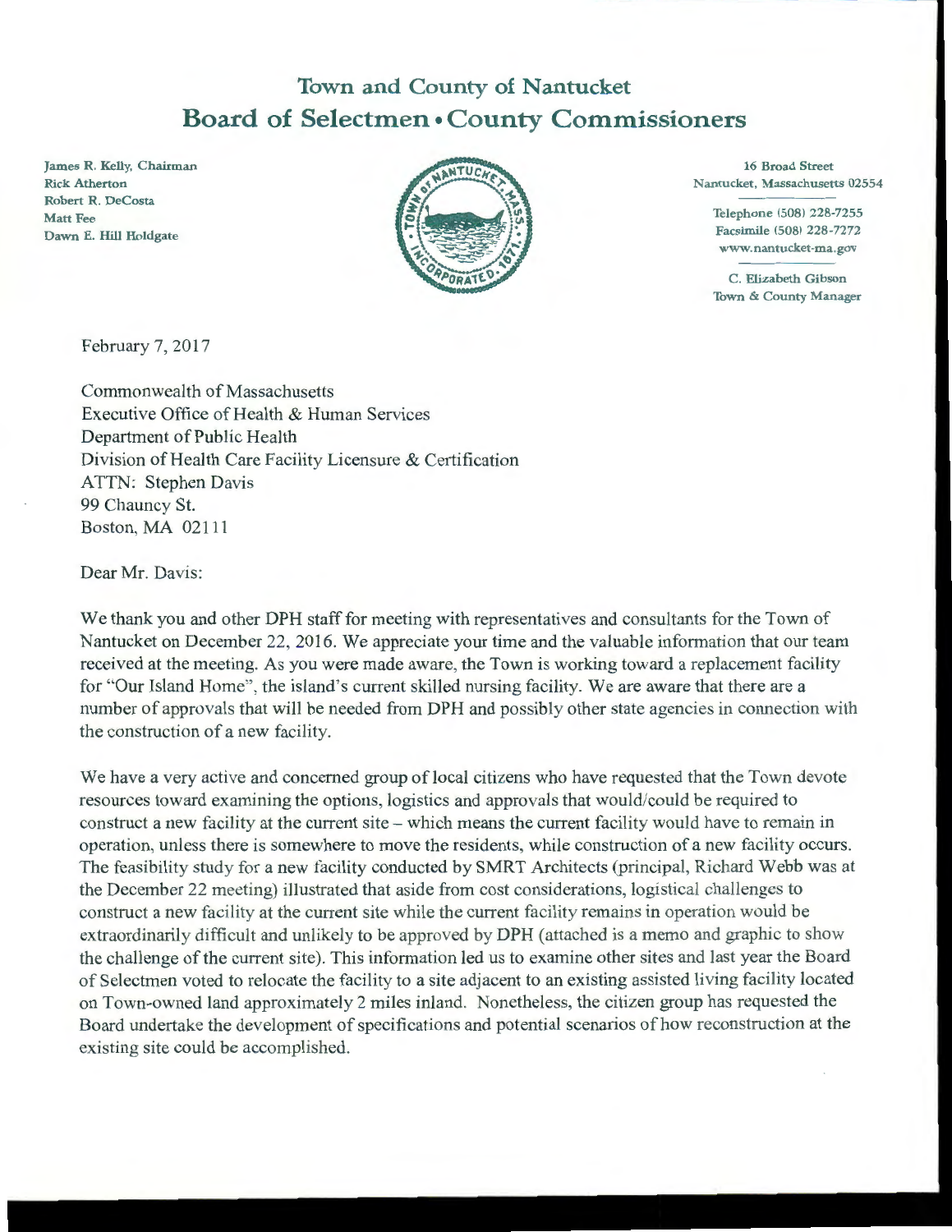## **Town and County of Nantucket Board of Selectmen• County Commissioners**

James R. Kelly, Chairman **Rick Atherton** Robert R. DeCosta Matt Fee Dawn E. Hill Holdgate



16 Broad Street Nantucket, Massachusetts 02554

> Telephone (508) 228-7255 Facsimile (508) 228-7272 www.nantucket-ma.gov

> C. Elizabeth Gibson Town & County Manager

February 7, 2017

Commonwealth of Massachusetts Executive Office of Health & Human Services Department of Public Health Division of Health Care Facility Licensure & Certification ATTN: Stephen Davis 99 Chauncy St. Boston, MA 02111

Dear Mr. Davis:

We thank you and other DPH staff for meeting with representatives and consultants for the Town of Nantucket on December 22, 2016. We appreciate your time and the valuable information that our team received at the meeting. As you were made aware, the Town is working toward a replacement facility for "Our Island Home", the island's current skilled nursing facility. We are aware that there are a number of approvals that will be needed from DPH and possibly other state agencies in connection with the construction of a new facility.

We have a very active and concerned group of local citizens who have requested that the Town devote resources toward examining the options, logistics and approvals that would/could be required to construct a new facility at the current site - which means the current facility would have to remain in operation, unless there is somewhere to move the residents, while construction of a new facility occurs. The feasibility study for a new facility conducted by SMRT Architects (principal, Richard Webb was at the December 22 meeting) illustrated that aside from cost considerations, logistical challenges to construct a new facility at the current site while the current facility remains in operation would be extraordinarily difficult and unlikely to be approved by DPH (attached is a memo and graphic to show the challenge of the current site). This information led us to examine other sites and last year the Board of Selectmen voted to relocate the facility to a site adjacent to an existing assisted living facility located on Town-owned land approximately 2 miles inland. Nonetheless, the citizen group has requested the Board undertake the development of specifications and potential scenarios of how reconstruction at the existing site could be accomplished.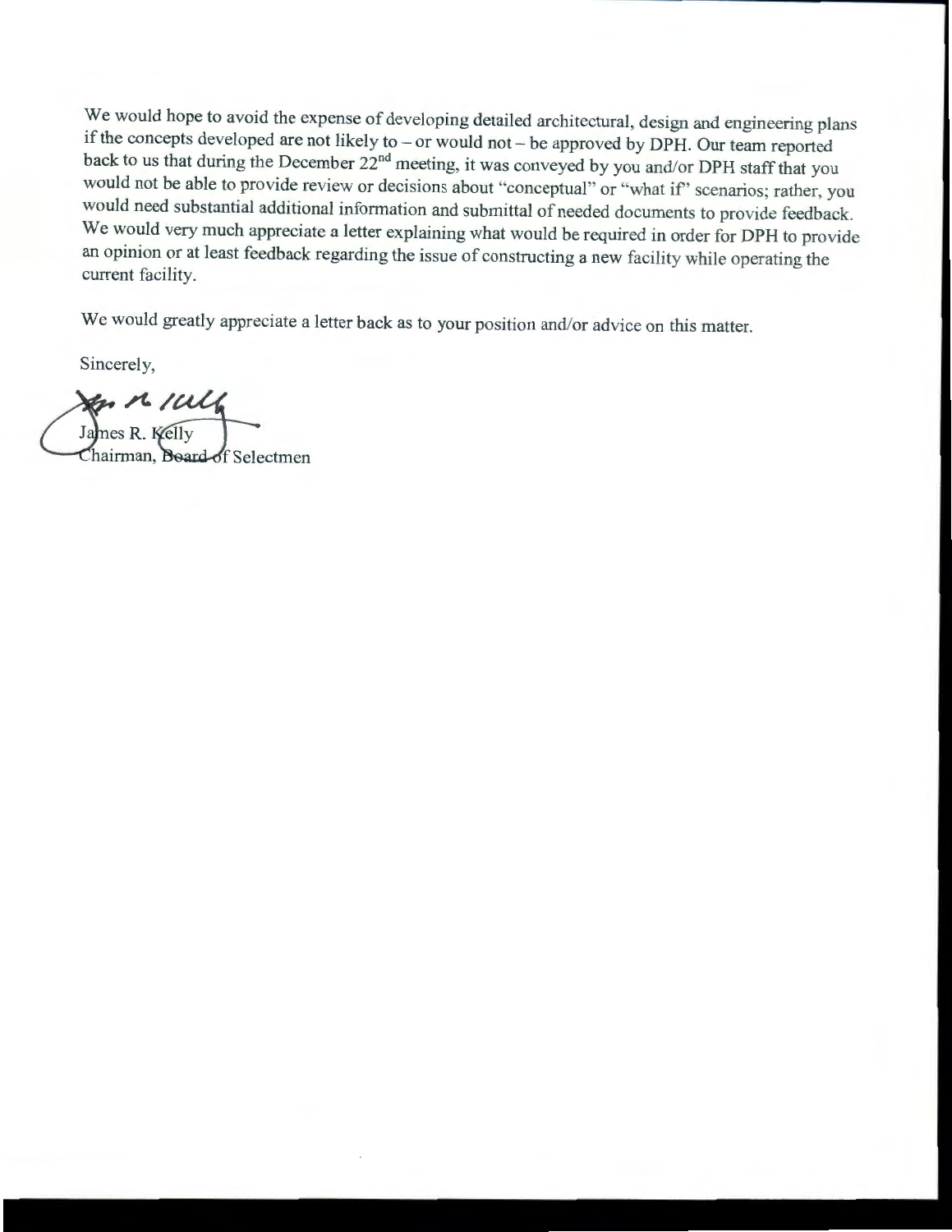We would hope to avoid the expense of developing detailed architectural, design and engineering plans if the concepts developed are not likely to - or would not - be approved by DPH. Our team reported back to us that during the December 22<sup>nd</sup> meeting, it was conveyed by you and/or DPH staff that you would not be able to provide review or decisions about "conceptual" or "what if' scenarios; rather, you would need substantial additional information and submittal of needed documents to provide feedback. We would very much appreciate a letter explaining what would be required in order for DPH to provide an opinion or at least feedback regarding the issue of constructing a new facility while operating the current facility.

We would greatly appreciate a letter back as to your position and/or advice on this matter.

Sincerely,<br>
Sincerely,<br>
James R. Kelly

Chairman, Board of Selectmen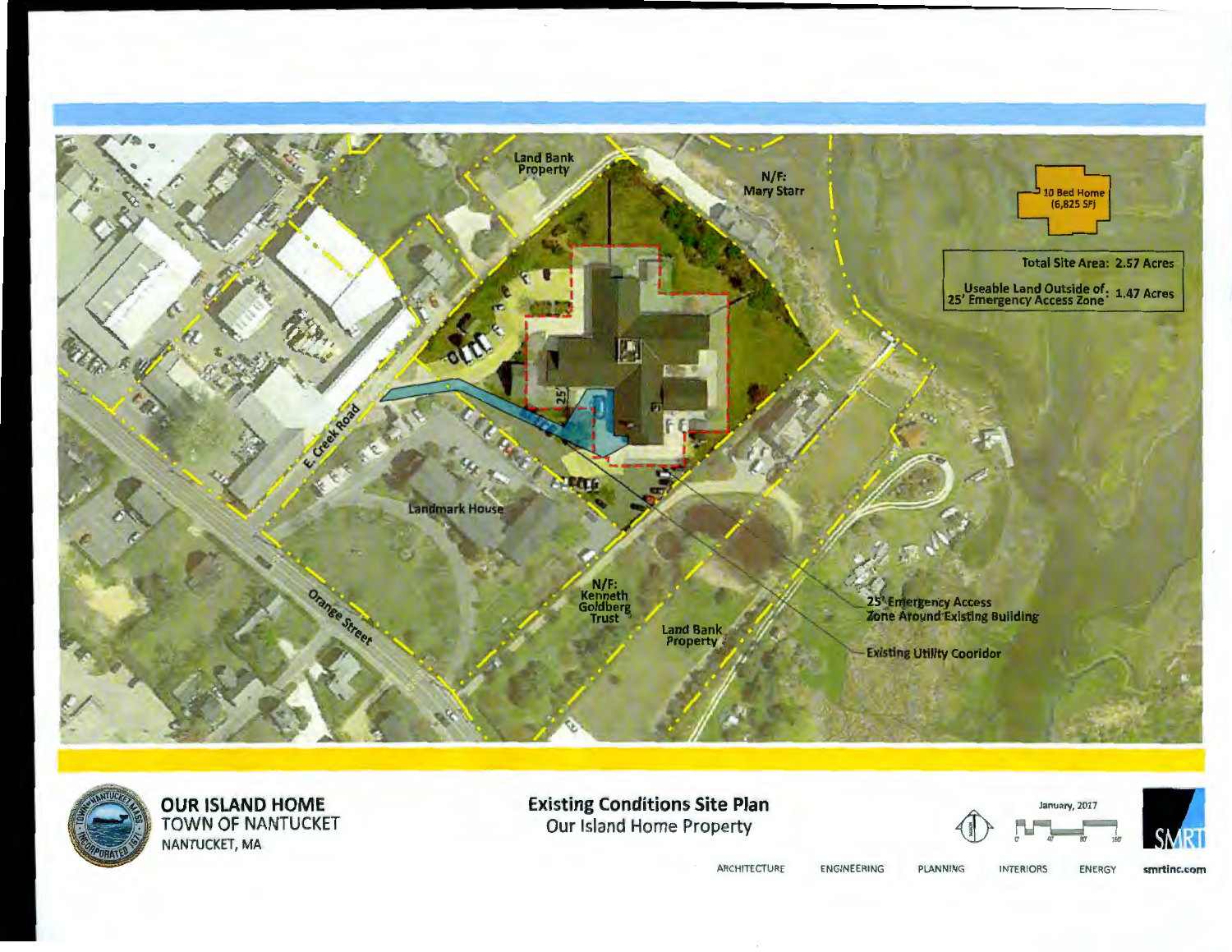



**OUR ISLAND HOME**<br>TOWN OF NANTUCKET NANTUCKET, MA

**Existing Conditions Site Plan** Our Island Home Property

January, 2017



ARCHITECTURE

ENGINEERING

PLANNING **INTERIORS** 

smrtinc.com ENERGY